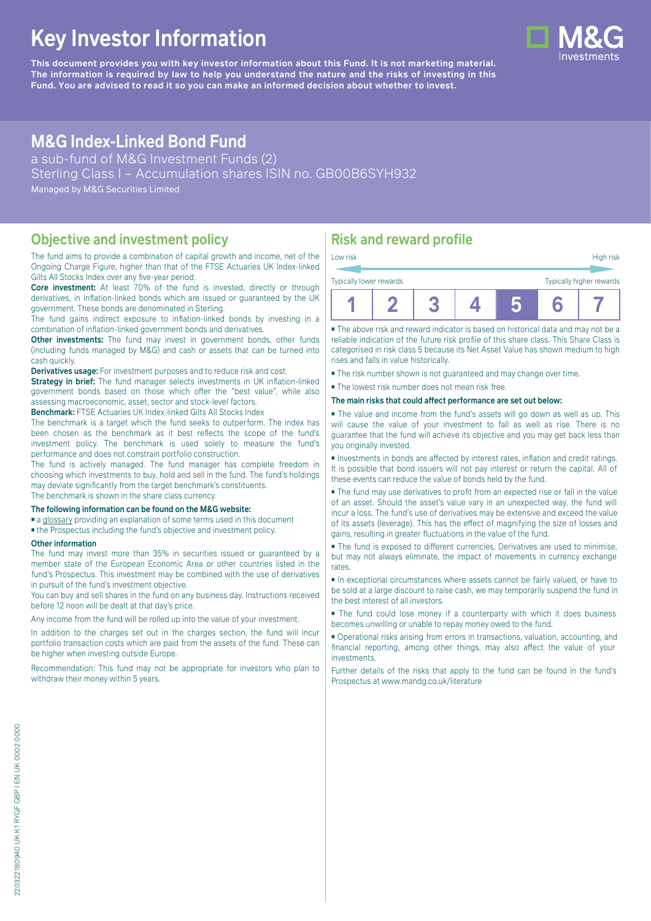# **Key Investor Information**

**This document provides you with key investor information about this Fund. It is not marketing material.** The information is required by law to help you understand the nature and the risks of investing in this **Fund. You are advised to read it so you can make an informed decision about whether to invest.**

# **M&G Index-Linked Bond Fund**

a sub-fund of M&G Investment Funds (2) Sterling Class I – Accumulation shares ISIN no. GB00B6SYH932 Managed by M&G Securities Limited

#### **Objective and investment policy**

The fund aims to provide a combination of capital growth and income, net of the Ongoing Charge Figure, higher than that of the FTSE Actuaries UK Index-linked Gilts All Stocks Index over any five-year period.

**Core investment:** At least 70% of the fund is invested, directly or through derivatives, in inflation-linked bonds which are issued or guaranteed by the UK government. These bonds are denominated in Sterling.

The fund gains indirect exposure to inflation-linked bonds by investing in a combination of inflation-linked government bonds and derivatives.

**Other investments:** The fund may invest in government bonds, other funds (including funds managed by M&G) and cash or assets that can be turned into cash quickly.

**Derivatives usage:** For investment purposes and to reduce risk and cost.

**Strategy in brief:** The fund manager selects investments in UK inflation-linked government bonds based on those which offer the "best value", while also assessing macroeconomic, asset, sector and stock-level factors.

**Benchmark:** FTSE Actuaries UK Index-linked Gilts All Stocks Index

The benchmark is a target which the fund seeks to outperform. The index has been chosen as the benchmark as it best reflects the scope of the fund's investment policy. The benchmark is used solely to measure the fund's performance and does not constrain portfolio construction.

The fund is actively managed. The fund manager has complete freedom in choosing which investments to buy, hold and sell in the fund. The fund's holdings may deviate significantly from the target benchmark's constituents. The benchmark is shown in the share class currency.

**The following information can be found on the M&G website:**

- [a glossary](https://docs.mandg.com/docs/glossary-master-en.pdf) providing an explanation of some terms used in this document
- the Prospectus including the fund's objective and investment policy.

#### **Other information**

The fund may invest more than 35% in securities issued or guaranteed by a member state of the European Economic Area or other countries listed in the fund's Prospectus. This investment may be combined with the use of derivatives in pursuit of the fund's investment objective.

You can buy and sell shares in the fund on any business day. Instructions received before 12 noon will be dealt at that day's price.

Any income from the fund will be rolled up into the value of your investment.

In addition to the charges set out in the charges section, the fund will incur portfolio transaction costs which are paid from the assets of the fund. These can be higher when investing outside Europe.

Recommendation: This fund may not be appropriate for investors who plan to withdraw their money within 5 years.

# **Risk and reward profile**

|                                                     | Low risk |  |  |  |  |  |  | High risk |  |
|-----------------------------------------------------|----------|--|--|--|--|--|--|-----------|--|
| Typically higher rewards<br>Typically lower rewards |          |  |  |  |  |  |  |           |  |
|                                                     |          |  |  |  |  |  |  |           |  |

■ The above risk and reward indicator is based on historical data and may not be a reliable indication of the future risk profile of this share class. This Share Class is categorised in risk class 5 because its Net Asset Value has shown medium to high rises and falls in value historically.

■ The risk number shown is not guaranteed and may change over time.

■ The lowest risk number does not mean risk free.

**The main risks that could affect performance are set out below:**

■ The value and income from the fund's assets will go down as well as up. This will cause the value of your investment to fall as well as rise. There is no guarantee that the fund will achieve its objective and you may get back less than you originally invested.

■ Investments in bonds are affected by interest rates, inflation and credit ratings. It is possible that bond issuers will not pay interest or return the capital. All of these events can reduce the value of bonds held by the fund.

■ The fund may use derivatives to profit from an expected rise or fall in the value of an asset. Should the asset's value vary in an unexpected way, the fund will incur a loss. The fund's use of derivatives may be extensive and exceed the value of its assets (leverage). This has the effect of magnifying the size of losses and gains, resulting in greater fluctuations in the value of the fund.

■ The fund is exposed to different currencies. Derivatives are used to minimise, but may not always eliminate, the impact of movements in currency exchange rates.

■ In exceptional circumstances where assets cannot be fairly valued, or have to be sold at a large discount to raise cash, we may temporarily suspend the fund in the best interest of all investors.

■ The fund could lose money if a counterparty with which it does business becomes unwilling or unable to repay money owed to the fund.

■ Operational risks arising from errors in transactions, valuation, accounting, and financial reporting, among other things, may also affect the value of your investments.

Further details of the risks that apply to the fund can be found in the fund's Prospectus at [www.mandg.co.uk/literature](http://www.mandg.co.uk/literature)